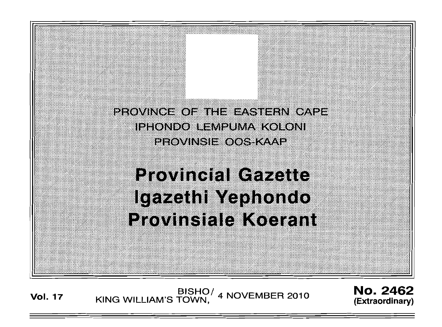

**Provincial Gazette** lgazethi Yephondo **Provinsiale Koerant** 

**Vol. <sup>17</sup>** BISHO/ KING WILLIAM'S TOWN, 4 NOVEMBER 2010

No. 2462 (Extraordinary)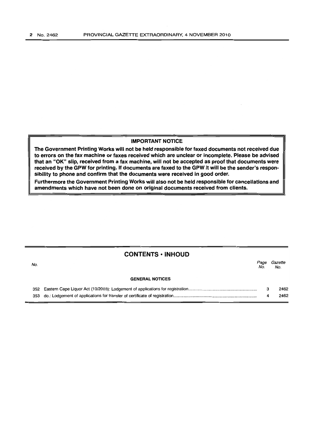## **IMPORTANT NOTICE**

The Government Printing Works will not be held responsible for faxed documents not received due to errors on the fax machine or faxes received which are unclear or incomplete. Please be advised that an "OK" slip, received from a fax machine, will not be accepted as proof that documents were received by the GPW for printing. If documents are faxed to the GPW it will be the sender's responsibility to phone and confirm that the documents were received in good order.

Furthermore the Government Printing Works will also not be held responsible for cancellations and amendments which have not been done on original documents received from clients.

|     | <b>CONTENTS • INHOUD</b> |             |                |  |
|-----|--------------------------|-------------|----------------|--|
| No. |                          | Page<br>No. | Gazette<br>No. |  |
|     | <b>GENERAL NOTICES</b>   |             |                |  |
|     |                          | з           | 2462           |  |
|     |                          | 4           | 2462           |  |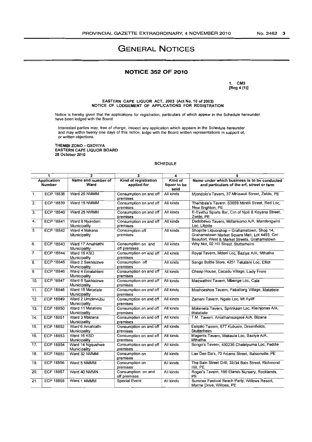# **GENERAL NOTICES**

## **NOTICE 352 OF 2010**

1. CM3 [Reg 4 (1)]

EASTERN CAPE LIQUOR ACT, 2003 (Act No.1 0 of 2003) NOTICE OF LODGEMENT OF APPLICATIONS FOR REGISTRATION

Notice is hereby given that the applications for registration, particulars of which appear in the Schedule hereunder. have been lodged with the Board.

Interested parties may, free of charge. inspect any application which appears in the Schedule hereunder and may within twenty one days of this notice, lodge with the Board written representations in support of, or written objections.

THEMBI ZONO -- GXOYIYA EASTERN CAPE LIQUOR BOARD 28 October 2010

#### SCHEDULE

| $\overline{\mathbf{1}}$ |                  | $\overline{2}$                    | $\overline{\mathbf{3}}$             | 4                               | $\overline{5}$                                                                                                                               |  |
|-------------------------|------------------|-----------------------------------|-------------------------------------|---------------------------------|----------------------------------------------------------------------------------------------------------------------------------------------|--|
| Application<br>Number   |                  | Name and number of<br>Ward        | Kind of registration<br>applied for | Kind of<br>liquor to be<br>sold | Name under which business is to be conducted<br>and particulars of the erf, street or farm                                                   |  |
| $\mathbf{1}$ .          | <b>ECP 18838</b> | Ward 26 NMMM                      | Consumption on and off<br>premises  | All kinds                       | Miondolo's Tavern, 37 Mhlawuli Street, Zwide, PE                                                                                             |  |
| $\overline{2}$ .        | ECP 18839        | Ward 15 NMMM                      | Consumption on and off<br>premises  | All kinds                       | Thembsie's Tavern, 63659 Ntintili Street, Red Loc.<br>New Brighton, PE                                                                       |  |
| $\overline{3}$ .        | <b>ECP 18840</b> | Ward 25 NMMM                      | Consumption on and off<br>premises  | All kinds                       | E-Eyethu Sports Bar, Crn of Njoli & Koyana Street,<br>Zwide, PE                                                                              |  |
| 4.                      | <b>ECP 18841</b> | Ward 8 Nyandeni<br>Municipality   | Consumption on and off<br>premises  | All kinds                       | Dadobawo Tavern, Mdlankomo A/A, Mamfengwini<br>Loc. Libode                                                                                   |  |
| $\overline{5}$          | <b>ECP 18842</b> | Ward 4 Makana<br>Municipality     | Consumption off<br>premises         | All kinds                       | Shoprite Liquorshop - Grahamstown, Shop 14,<br>Grahamstown Market Square Mall, Lot 4493, Cnr<br>Beaufort, West & Market Streets, Grahamstown |  |
| 6.                      | <b>ECP 18843</b> | Ward 17 Amahlathi<br>Municipality | Consumption on and<br>off premises  | All kinds                       | Why Not, 02 Hill Street, Stutterheim                                                                                                         |  |
| $\overline{7}$ .        | <b>ECP 18844</b> | Ward 16 KSD<br>Municipality       | Consumption on and off<br>premises  | All kinds                       | Royal Tavern, Mdeni Loc, Baziya A/A, Mthatha                                                                                                 |  |
| 8.                      | <b>ECP 18845</b> | Ward 2 Sakhisizwe<br>Municipality | Consumption off<br>premises         | All kinds                       | Sango Bottle Store, 4251 Takalani Loc, Elliot                                                                                                |  |
| $\overline{9}$ .        | <b>ECP 18846</b> | Ward 4 Emalahleni<br>Municipality | Consumption on and off<br>premises  | All kinds                       | Cheap House, Cacadu Village, Lady Frere                                                                                                      |  |
| 10.                     | <b>ECP 18847</b> | Ward 6 Sakhisizwe<br>Municipality | Consumption on and off<br>premises  | All kinds                       | Magwathini Tavern, Mbenge Loc, Cala                                                                                                          |  |
| $\overline{11}$ .       | <b>ECP 18848</b> | Ward 15 Matatiele<br>Municipality | Consumption on and off<br>premises  | All kinds                       | Moshoeshoe Tavern, Paballong Village, Matatiele                                                                                              |  |
| 12.                     | <b>ECP 18849</b> | Ward 2 Umzimvubu<br>Municipality  | Consumption on and off<br>premises  | All kinds                       | Zamani Tavern, Ngele Loc, Mt Ayliff                                                                                                          |  |
| 13.                     | <b>ECP 18850</b> | Ward 11 Matatiele<br>Municipality | Consumption on and off<br>premises  | All kinds                       | Mokenela Tavern, Sprinkaan Loc, Kleinjonas A/A,<br>Matatiele                                                                                 |  |
| 14.                     | <b>ECP 18851</b> | Ward 3 Mbizana<br>Municipality    | Consumption on and off<br>premises  | All kinds                       | T.M. Tavern, Amathamsagase A/A, Bizana                                                                                                       |  |
| 15.                     | <b>ECP 18852</b> | Ward 6 Amahlathi<br>Municipality  | Consumption on and off<br>premises  | All kinds                       | Esigalo Tavern, 677 Kubusie, Greenfields,<br>Stutterheim                                                                                     |  |
| 16.                     | <b>ECP 18853</b> | Ward 16 KSD<br>Municipality       | Consumption on and off<br>premises  | All kinds                       | Magents Tavern, Makaula Loc, Baziya A/A,<br>Mthatha                                                                                          |  |
| 17.                     | <b>ECP 18854</b> | Ward 14 Ngqushwa<br>Municipality  | Consumption on and off<br>premises  | All kinds                       | Songo's Tavern, 430236 Cheletyuma Loc, Peddie                                                                                                |  |
| $\overline{18}$ .       | <b>ECP 18855</b> | Ward 32 NMMM                      | Consumption on<br>premises          | All kinds                       | Laa Dee Da's, 70 Adams Street, Salsonville, PE                                                                                               |  |
| 19.                     | <b>ECP 18856</b> | Ward 5 NMMM                       | Consumption on<br>premises          | All kinds                       | The Bain Street Grill, 32/34 Bain Street, Richmond<br>Hill, PE                                                                               |  |
| $\overline{20}$ .       | <b>ECP 18857</b> | Ward 40 NMMN                      | Consumption on and<br>off premises  | All kinds                       | Roger's Tavern, 196 Elands Nursery, Rocklands,<br>PE                                                                                         |  |
| 21.                     | <b>ECP 18858</b> | Ward 1 NMMM                       | <b>Special Event</b>                | All kinds                       | Summer Festival Beach Party, Willows Resort,<br>Marine Drive, Willoes, PE                                                                    |  |